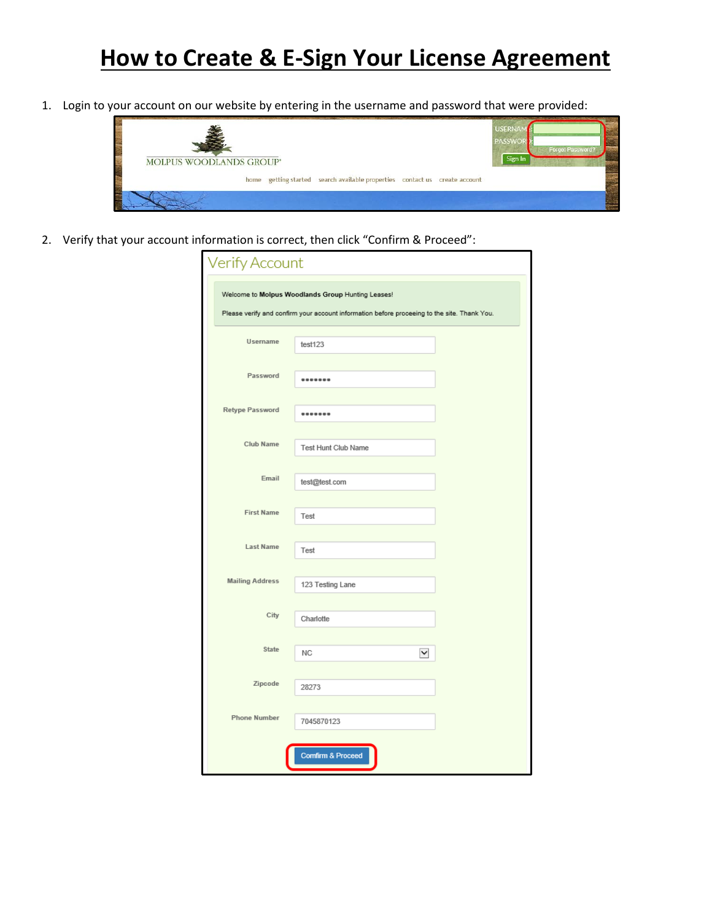## **How to Create & E-Sign Your License Agreement**

1. Login to your account on our website by entering in the username and password that were provided:



2. Verify that your account information is correct, then click "Confirm & Proceed":

|                        | Welcome to Molpus Woodlands Group Hunting Leases!<br>Please verify and confirm your account information before proceeing to the site. Thank You. |
|------------------------|--------------------------------------------------------------------------------------------------------------------------------------------------|
| <b>Username</b>        | test123                                                                                                                                          |
| Password               | -------                                                                                                                                          |
| Retype Password        |                                                                                                                                                  |
|                        | -------                                                                                                                                          |
| Club Name              | <b>Test Hunt Club Name</b>                                                                                                                       |
| Email                  | test@test.com                                                                                                                                    |
| <b>First Name</b>      | Test                                                                                                                                             |
| <b>Last Name</b>       | Test                                                                                                                                             |
| <b>Mailing Address</b> | 123 Testing Lane                                                                                                                                 |
| City                   |                                                                                                                                                  |
|                        | Charlotte                                                                                                                                        |
| State                  | NC<br>$\blacktriangledown$                                                                                                                       |
| Zipcode                | 28273                                                                                                                                            |
| <b>Phone Number</b>    | 7045870123                                                                                                                                       |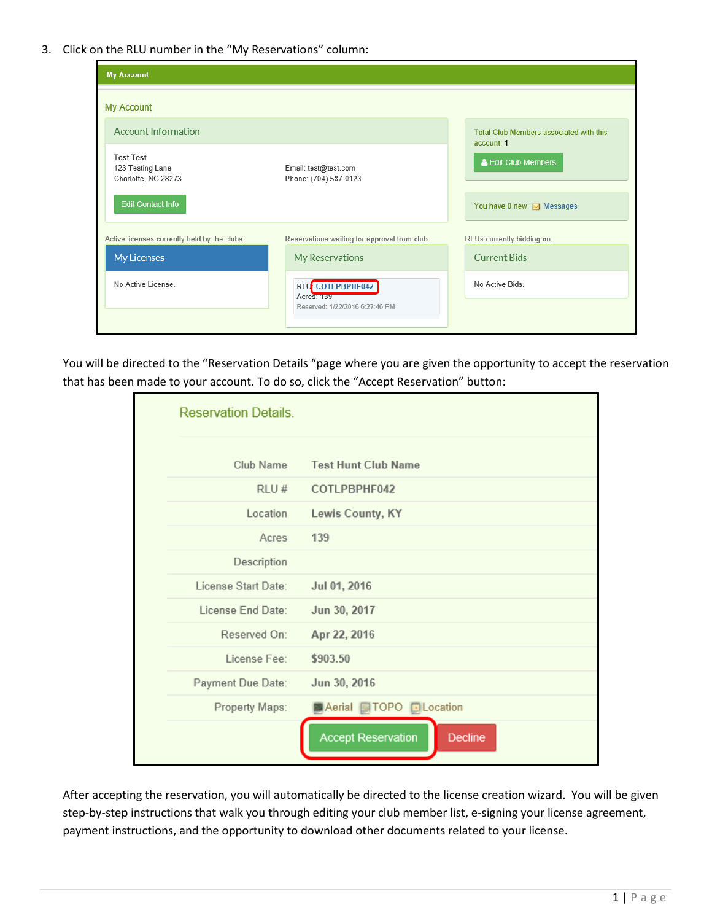3. Click on the RLU number in the "My Reservations" column:

| <b>My Account</b>                                           |                                               |                                                       |
|-------------------------------------------------------------|-----------------------------------------------|-------------------------------------------------------|
| My Account                                                  |                                               |                                                       |
| <b>Account Information</b>                                  |                                               | Total Club Members associated with this<br>account: 1 |
| <b>Test Test</b><br>123 Testing Lane<br>Charlotte, NC 28273 | Email: test@test.com<br>Phone: (704) 587-0123 | & Edit Club Members                                   |
| <b>Edit Contact Info</b>                                    |                                               | You have 0 new $\boxtimes$ Messages                   |
| Active licenses currently held by the clubs.                | Reservations waiting for approval from club.  | RLUs currently bidding on.                            |
| My Licenses                                                 | My Reservations                               | <b>Current Bids</b>                                   |
| No Active License                                           | RLU COTLPBPHF042<br><b>Acres: 139</b>         | No Active Bids.                                       |
|                                                             | Reserved: 4/22/2016 6:27:46 PM                |                                                       |

You will be directed to the "Reservation Details "page where you are given the opportunity to accept the reservation that has been made to your account. To do so, click the "Accept Reservation" button:

| <b>Reservation Details.</b> |                                             |
|-----------------------------|---------------------------------------------|
| Club Name                   | <b>Test Hunt Club Name</b>                  |
| RLU#                        | COTLPBPHF042                                |
| Location                    | Lewis County, KY                            |
| Acres                       | 139                                         |
| Description                 |                                             |
| License Start Date:         | Jul 01, 2016                                |
| License End Date:           | Jun 30, 2017                                |
| Reserved On:                | Apr 22, 2016                                |
| License Fee:                | \$903.50                                    |
| Payment Due Date:           | Jun 30, 2016                                |
| Property Maps:              | Aerial <b>TOPO</b> DLocation                |
|                             | <b>Accept Reservation</b><br><b>Decline</b> |

After accepting the reservation, you will automatically be directed to the license creation wizard. You will be given step-by-step instructions that walk you through editing your club member list, e-signing your license agreement, payment instructions, and the opportunity to download other documents related to your license.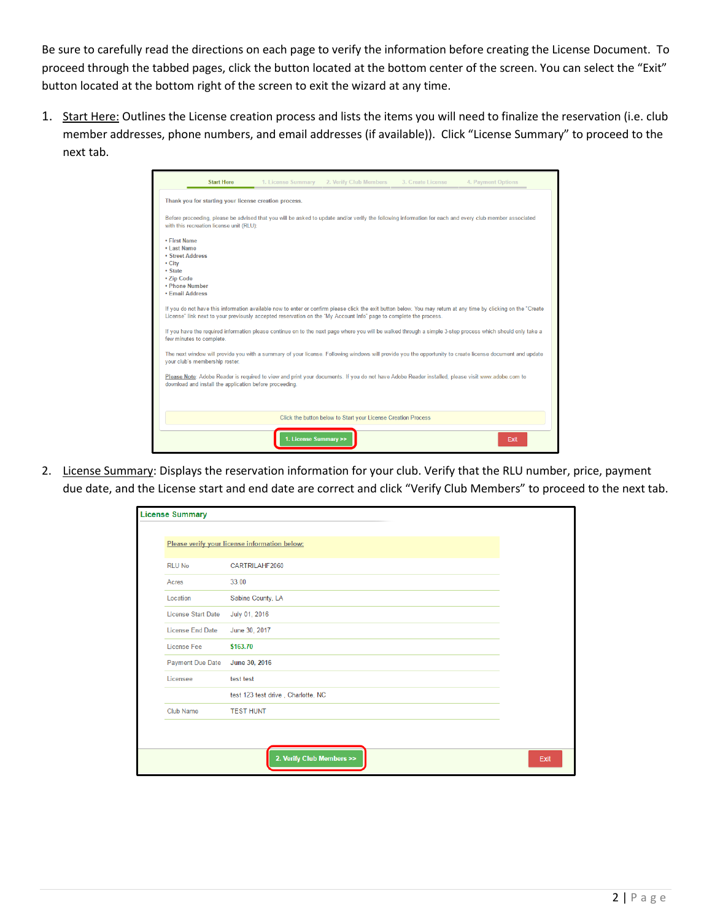Be sure to carefully read the directions on each page to verify the information before creating the License Document. To proceed through the tabbed pages, click the button located at the bottom center of the screen. You can select the "Exit" button located at the bottom right of the screen to exit the wizard at any time.

1. Start Here: Outlines the License creation process and lists the items you will need to finalize the reservation (i.e. club member addresses, phone numbers, and email addresses (if available)). Click "License Summary" to proceed to the next tab.

| <b>Start Here</b>                                                                                                                                                                                                                                                                    | 1. License Summary              | 2. Verify Club Members                                        | 3. Create License | 4. Payment Options |
|--------------------------------------------------------------------------------------------------------------------------------------------------------------------------------------------------------------------------------------------------------------------------------------|---------------------------------|---------------------------------------------------------------|-------------------|--------------------|
| Thank you for starting your license creation process.                                                                                                                                                                                                                                |                                 |                                                               |                   |                    |
| Before proceeding, please be advised that you will be asked to update and/or verify the following information for each and every club member associated<br>with this recreation license unit (RLU):                                                                                  |                                 |                                                               |                   |                    |
| • First Name<br>• Last Name<br><b>• Street Address</b><br>• City<br>• State<br>• Zip Code<br>• Phone Number<br>• Email Address                                                                                                                                                       |                                 |                                                               |                   |                    |
| If you do not have this information available now to enter or confirm please click the exit button below. You may return at any time by clicking on the "Create<br>License" link next to your previously accepted reservation on the "My Account Info" page to complete the process. |                                 |                                                               |                   |                    |
| If you have the required information please continue on to the next page where you will be walked through a simple 3-step process which should only take a<br>few minutes to complete.                                                                                               |                                 |                                                               |                   |                    |
| The next window will provide you with a summary of your license. Following windows will provide you the opportunity to create license document and update<br>your club's membership roster.                                                                                          |                                 |                                                               |                   |                    |
| Please Note: Adobe Reader is required to view and print your documents. If you do not have Adobe Reader installed, please visit www.adobe.com to<br>download and install the application before proceeding.                                                                          |                                 |                                                               |                   |                    |
|                                                                                                                                                                                                                                                                                      |                                 | Click the button below to Start your License Creation Process |                   |                    |
|                                                                                                                                                                                                                                                                                      | <b>License Summary &gt;&gt;</b> |                                                               |                   | Exit               |

2. License Summary: Displays the reservation information for your club. Verify that the RLU number, price, payment due date, and the License start and end date are correct and click "Verify Club Members" to proceed to the next tab.

| <b>License Summary</b>    |                                               |      |
|---------------------------|-----------------------------------------------|------|
|                           | Please verify your license information below: |      |
| <b>RLU No</b>             | CARTRILAHF2060                                |      |
| Acres                     | 33.00                                         |      |
| Location                  | Sabine County, LA                             |      |
| <b>License Start Date</b> | July 01, 2016                                 |      |
| <b>License End Date</b>   | June 30, 2017                                 |      |
| License Fee               | \$163.70                                      |      |
| <b>Payment Due Date</b>   | June 30, 2016                                 |      |
| Licensee                  | test test                                     |      |
|                           | test 123 test drive, Charlotte, NC            |      |
| <b>Club Name</b>          | <b>TEST HUNT</b>                              |      |
|                           |                                               |      |
|                           |                                               |      |
|                           | 2. Verify Club Members >>                     | Exit |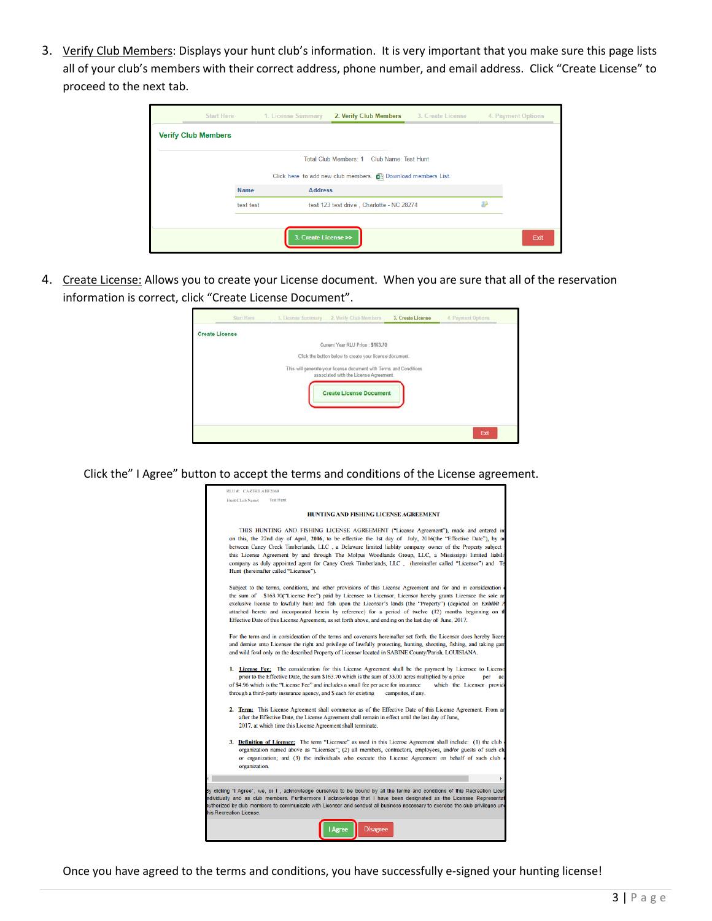3. Verify Club Members: Displays your hunt club's information. It is very important that you make sure this page lists all of your club's members with their correct address, phone number, and email address. Click "Create License" to proceed to the next tab.

| <b>Start Here</b>          |             | 1. License Summary   | 2. Verify Club Members                                                | 3. Create License | 4. Payment Options |
|----------------------------|-------------|----------------------|-----------------------------------------------------------------------|-------------------|--------------------|
| <b>Verify Club Members</b> |             |                      |                                                                       |                   |                    |
|                            |             |                      | Total Club Members: 1 Club Name: Test Hunt                            |                   |                    |
|                            |             |                      | Click here to add new club members. <b>[4]</b> Download members List. |                   |                    |
|                            | <b>Name</b> | <b>Address</b>       |                                                                       |                   |                    |
|                            | test test   |                      | test 123 test drive, Charlotte - NC 28274                             |                   |                    |
|                            |             |                      |                                                                       |                   |                    |
|                            |             | 3. Create License >> |                                                                       |                   | Exit               |

4. Create License: Allows you to create your License document. When you are sure that all of the reservation information is correct, click "Create License Document".

|                       | Start Horn | 1. License Summary 2. Verify Club Members                                                                    | 3. Create License | 4. Payment Options |
|-----------------------|------------|--------------------------------------------------------------------------------------------------------------|-------------------|--------------------|
| <b>Create License</b> |            |                                                                                                              |                   |                    |
|                       |            | Current Year RLU Price: \$163.70                                                                             |                   |                    |
|                       |            | Click the button below to create your license document.                                                      |                   |                    |
|                       |            | This will generate your license document with Terms and Conditions<br>associated with the License Agreement. |                   |                    |
|                       |            | <b>Create License Document</b>                                                                               |                   |                    |
|                       |            |                                                                                                              |                   |                    |
|                       |            |                                                                                                              |                   | Exit               |

Click the" I Agree" button to accept the terms and conditions of the License agreement.

| RLU #: CARTRILAHF2060                                                                                                                                                                                                                                                                                                                                                                                                                                                                                                                                                             |
|-----------------------------------------------------------------------------------------------------------------------------------------------------------------------------------------------------------------------------------------------------------------------------------------------------------------------------------------------------------------------------------------------------------------------------------------------------------------------------------------------------------------------------------------------------------------------------------|
| <b>Test Hunt</b><br>Hunt CLub Name:                                                                                                                                                                                                                                                                                                                                                                                                                                                                                                                                               |
| <b>HUNTING AND FISHING LICENSE AGREEMENT</b>                                                                                                                                                                                                                                                                                                                                                                                                                                                                                                                                      |
| THIS HUNTING AND FISHING LICENSE AGREEMENT ("License Agreement"), made and entered int<br>on this, the 22nd day of April, 2016, to be effective the 1st day of July, 2016(the "Effective Date"), by an<br>between Caney Creek Timberlands, LLC, a Delaware limited liablity company owner of the Property subject t<br>this License Agreement by and through The Molpus Woodlands Group, LLC, a Mississippi limited liabilit<br>company as duly appointed agent for Caney Creek Timberlands, LLC, (hereinafter called "Licensor") and Te<br>Hunt (hereinafter called "Licensee"). |
| Subject to the terms, conditions, and other provisions of this License Agreement and for and in consideration of<br>the sum of \$163.70("License Fee") paid by Licensee to Licensor, Licensor hereby grants Licensee the sole an<br>exclusive license to lawfully hunt and fish upon the Licensor's lands (the "Property") (depicted on Exhibit A<br>attached hereto and incorporated herein by reference) for a period of twelve (12) months beginning on th<br>Effective Date of this License Agreement, as set forth above, and ending on the last day of June, 2017.          |
| For the term and in consideration of the terms and covenants hereinafter set forth, the Licensor does hereby licens<br>and demise unto Licensee the right and privilege of lawfully protecting, hunting, shooting, fishing, and taking gam<br>and wild fowl only on the described Property of Licensor located in SABINE County/Parish, LOUISIANA.                                                                                                                                                                                                                                |
| 1. License Fee: The consideration for this License Agreement shall be the payment by Licensee to Licenso<br>prior to the Effective Date, the sum \$163.70 which is the sum of 33.00 acres multiplied by a price<br>per<br>act<br>of \$4.96 which is the "License Fee" and includes a small fee per acre for insurance<br>which the Licensor provide<br>through a third-party insurance agency, and \$ each for existing<br>campsites, if any.                                                                                                                                     |
| 2. Term: This License Agreement shall commence as of the Effective Date of this License Agreement. From an<br>after the Effective Date, the License Agreement shall remain in effect until the last day of June,<br>2017, at which time this License Agreement shall terminate.                                                                                                                                                                                                                                                                                                   |
| 3. Definition of Licensee: The term "Licensee" as used in this License Agreement shall include: (1) the club $\phi$<br>organization named above as "Licensee"; (2) all members, contractors, employees, and/or guests of such clu<br>or organization; and (3) the individuals who execute this License Agreement on behalf of such club<br>organization.                                                                                                                                                                                                                          |
|                                                                                                                                                                                                                                                                                                                                                                                                                                                                                                                                                                                   |
| By clicking "I Agree", we, or I, acknowledge ourselves to be bound by all the terms and conditions of this Recreation Licen<br>ndividually and as club members. Furthermore I acknowledge that I have been designated as the Licensee Representat<br>authorized by club members to communicate with Licensor and conduct all business necessary to exercise the club privileges und<br>his Recreation License.                                                                                                                                                                    |
| <b>Disagree</b><br>Agree                                                                                                                                                                                                                                                                                                                                                                                                                                                                                                                                                          |

Once you have agreed to the terms and conditions, you have successfully e-signed your hunting license!